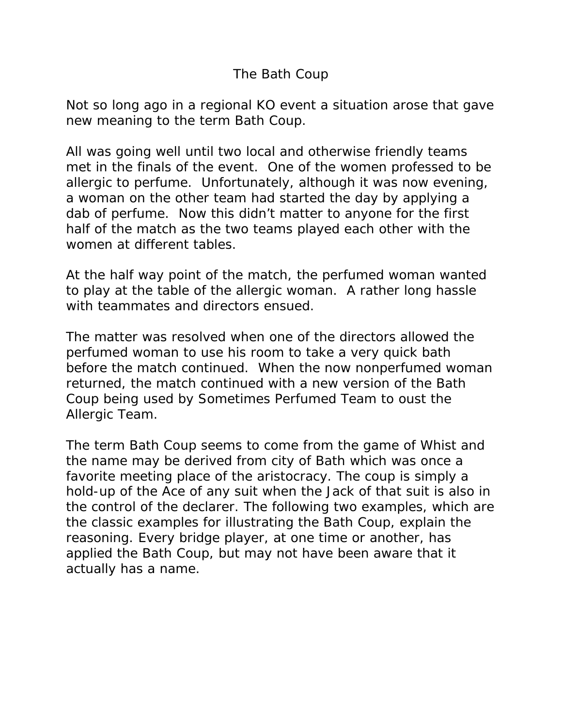## The Bath Coup

Not so long ago in a regional KO event a situation arose that gave new meaning to the term Bath Coup.

All was going well until two local and otherwise friendly teams met in the finals of the event. One of the women professed to be allergic to perfume. Unfortunately, although it was now evening, a woman on the other team had started the day by applying a dab of perfume. Now this didn't matter to anyone for the first half of the match as the two teams played each other with the women at different tables.

At the half way point of the match, the perfumed woman wanted to play at the table of the allergic woman. A rather long hassle with teammates and directors ensued.

The matter was resolved when one of the directors allowed the perfumed woman to use his room to take a very quick bath before the match continued. When the now nonperfumed woman returned, the match continued with a new version of the Bath Coup being used by Sometimes Perfumed Team to oust the Allergic Team.

The term Bath Coup seems to come from the game of Whist and the name may be derived from city of Bath which was once a favorite meeting place of the aristocracy. The coup is simply a hold-up of the Ace of any suit when the Jack of that suit is also in the control of the declarer. The following two examples, which are the classic examples for illustrating the Bath Coup, explain the reasoning. Every bridge player, at one time or another, has applied the Bath Coup, but may not have been aware that it actually has a name.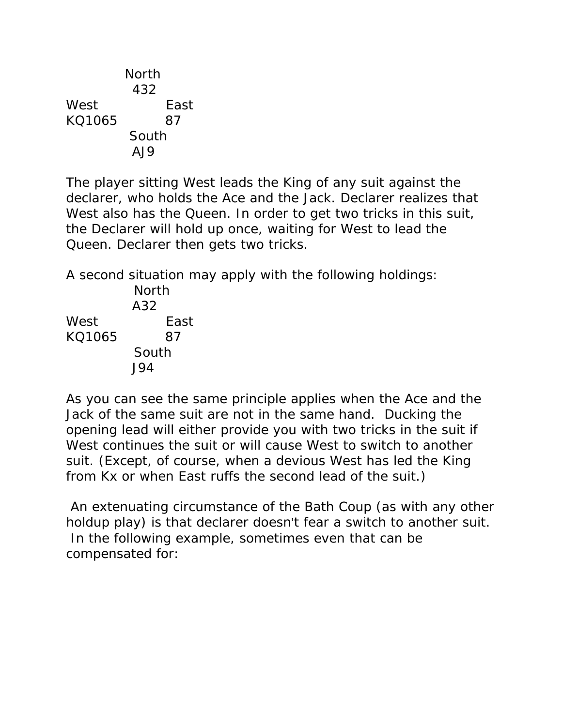North 432 West East KQ1065 87 South AJ9

The player sitting West leads the King of any suit against the declarer, who holds the Ace and the Jack. Declarer realizes that West also has the Queen. In order to get two tricks in this suit, the Declarer will hold up once, waiting for West to lead the Queen. Declarer then gets two tricks.

A second situation may apply with the following holdings:

|        | North |
|--------|-------|
|        | A32   |
| West   | East  |
| KO1065 | 87    |
|        | South |
|        | 194   |

As you can see the same principle applies when the Ace and the Jack of the same suit are not in the same hand. Ducking the opening lead will either provide you with two tricks in the suit if West continues the suit or will cause West to switch to another suit. (Except, of course, when a devious West has led the King from Kx or when East ruffs the second lead of the suit.)

 An extenuating circumstance of the Bath Coup (as with any other holdup play) is that declarer doesn't fear a switch to another suit. In the following example, sometimes even that can be compensated for: